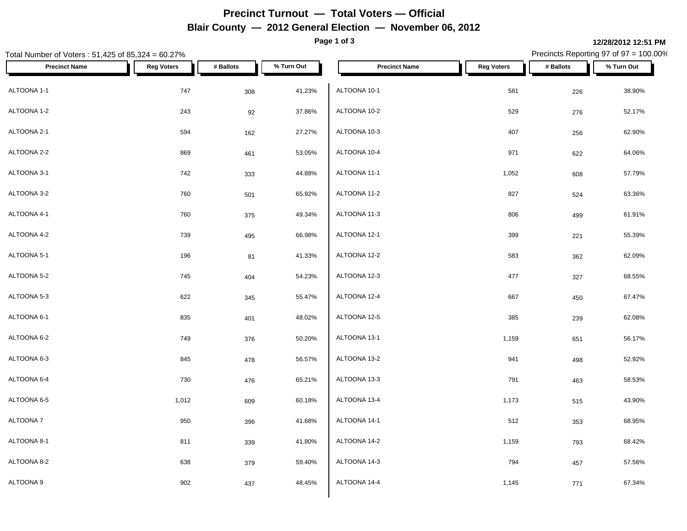# **Precinct Turnout — Total Voters — Official Blair County — 2012 General Election — November 06, 2012**

**Page 1 of 3**

### Total Number of Voters : 51,425 of 85,324 = 60.27% Precincts Reporting 97 of 97 = 100.00% **Precinct Name Reg Voters # Ballots % Turn Out Precinct Name Reg Voters # Ballots % Turn Out** ALTOONA 1-1 747 308 41.23% ALTOONA 1-2 243 92 37.86% ALTOONA 2-1 594 162 27.27% ALTOONA 2-2 869 461 53.05% ALTOONA 3-1 742 333 44.88% ALTOONA 3-2 760 501 65.92% ALTOONA 4-1 760 375 49.34% ALTOONA 4-2 739 495 66.98%  $\textsf{ALTOONA 5-1} \quad \textcolor{red}{\textsf{ALTOONA 12-2}} \quad \textcolor{red}{\textsf{ALTOONA 12-2}} \quad \textcolor{red}{\textsf{ALTOONA 12-2}} \quad \textcolor{red}{\textsf{ALTOONA 12-2}} \quad \textcolor{red}{\textsf{ALTOONA 12-2}} \quad \textcolor{red}{\textsf{ALTOONA 12-2}} \quad \textcolor{red}{\textsf{ALTOONA 12-2}} \quad \textcolor{red}{\textsf{ALTOONA 12-2}} \quad \textcolor{red}{\textsf{ALTOONA 12-2}} \quad \textcolor{red}{\textsf{ALTOONA 12-$ ALTOONA 5-2 745 404 54.23% ALTOONA 5-3 622 345 55.47% ALTOONA 6-1 835 401 48.02% ALTOONA 6-2 749 376 50.20% ALTOONA 6-3 845 478 56.57% ALTOONA 6-4 730 476 65.21% ALTOONA 6-5 1,012 609 60.18% ALTOONA 7 950 396 41.68% ALTOONA 8-1 811 339 41.80% ALTOONA 8-2 638 379 59.40% ALTOONA 9 902 437 48.45% ALTOONA 10-1 581 226 38.90% ALTOONA 10-2 529 276 52.17% ALTOONA 10-3 407 256 62.90% ALTOONA 10-4 971 622 64.06% ALTOONA 11-1 1,052 608 57.79% ALTOONA 11-2 827 524 63.36% ALTOONA 11-3 806 499 61.91% ALTOONA 12-1 399 221 55.39% ALTOONA 12-2 583 362 62.09% ALTOONA 12-3 477 327 68.55% ALTOONA 12-4 667 450 67.47% ALTOONA 12-5 385 239 62.08% ALTOONA 13-1 1,159 651 56.17% ALTOONA 13-2 941 498 52.92% ALTOONA 13-3 791 463 58.53% ALTOONA 13-4 1,173 1,173 515 515 515 43.90% ALTOONA 14-1 512 353 68.95% ALTOONA 14-2 1,159 793 68.42% ALTOONA 14-3 794 457 57.56% ALTOONA 14-4 67.34%

**12/28/2012 12:51 PM**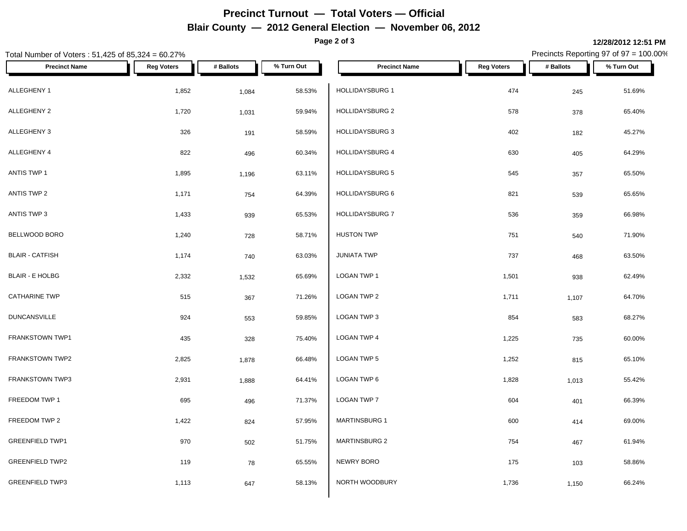# **Precinct Turnout — Total Voters — Official Blair County — 2012 General Election — November 06, 2012**

**Page 2 of 3**

### Total Number of Voters : 51,425 of 85,324 = 60.27% Precincts Reporting 97 of 97 = 100.00% **Precinct Name Reg Voters # Ballots % Turn Out Precinct Name Reg Voters # Ballots % Turn Out** ALLEGHENY 1 1,852 <sub>1,084</sub> 58.53% HOLLIDAYSBURG 1 ALLEGHENY 2 1,720 1,031 59.94% | HOLLIDAYSBURG 2 578 65.40% ALLEGHENY 3 326 191 58.59% | HOLLIDAYSBURG 3 402 45.27% ALLEGHENY 4 822 496 60.34% | HOLLIDAYSBURG 4 630 64.29% ANTIS TWP 1 1,895 1,196 63.11% HOLLIDAYSBURG 5 545 65.50% ANTIS TWP 2 1,171 64.39% HOLLIDAYSBURG 6 821 539 65.65% ANTIS TWP 3 1,433 939 65.53% HOLLIDAYSBURG 7 BELLWOOD BORO 1,240 728 58.71% BLAIR - CATFISH 1,174 740 63.03% BLAIR - E HOLBG 2,332 1,532 65.69% CATHARINE TWP 515 367 71.26% DUNCANSVILLE 924 553 59.85% FRANKSTOWN TWP1 435 328 75.40% FRANKSTOWN TWP2 2,825 2,825 1,878 66.48% LOGAN TWP 5 FRANKSTOWN TWP3 2,931 2,931 1,888 64.41% LOGAN TWP 6 FREEDOM TWP 1 695 695 695 496 71.37%  $\left\lfloor \right. \left. \left. \right. \right\rceil$  LOGAN TWP 7 695 695 695 695 696 71.37%  $\left. \right\rceil$ FREEDOM TWP 2 1,422 824 57.95% MARTINSBURG 1 GREENFIELD TWP1 **1** 970 502 51.75% MARTINSBURG 2 GREENFIELD TWP2 119 78 65.55% GREENFIELD TWP3  $1,113$   $647$   $58.13\%$   $NORTH$  WOODBURY HOLLIDAYSBURG 1 474 245 51.69% HOLLIDAYSBURG 7 536 359 66.98%  $H$ USTON TWP  $T$ 51 540 71.90% JUNIATA TWP 737 468 63.50%  $\,$  LOGAN TWP 1  $\,$  1,501  $\,$  938  $\,$  62.49%  $\,$ LOGAN TWP 2 1,711 1 1,107 1,107 1,107 1,107 1,107 1,107 1,107 1,107 1,107 1,107 1,107 1,107 1,107 1,107 1,107 1,107 1,107 1,107 1,107 1,107 1,107 1,107 1,107 1,107 1,107 1,107 1,107 1,107 1,107 1,107 1,107 1,107 1,107 1,10 LOGAN TWP 3 854 583 68.27% LOGAN TWP 4 1,225 735 60.00%  $\,$  LOGAN TWP 5  $\,$  1,252  $\,$  815  $\,$  65.10%  $\,$  LOGAN TWP 6  $\,$  1,828  $\,$  1,013  $\,$  55.42%  $\,$  $\textsf{\small LOGAN\,TWP\,7}\qquad \qquad 66.39\%$ MARTINSBURG 1 600 414 69.00% MARTINSBURG 2 754 467 61.94% NEWRY BORO 175 103 58.86% NORTH WOODBURY **1,736** 1,736 1,150 66.24%

**12/28/2012 12:51 PM**